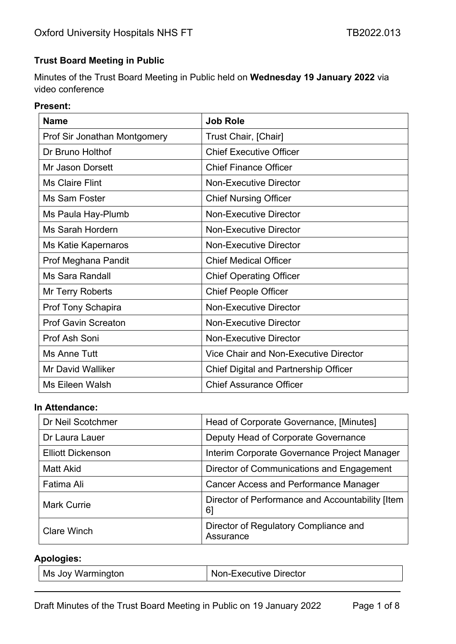### **Trust Board Meeting in Public**

Minutes of the Trust Board Meeting in Public held on **Wednesday 19 January 2022** via video conference

#### **Present:**

| <b>Name</b>                  | <b>Job Role</b>                              |
|------------------------------|----------------------------------------------|
| Prof Sir Jonathan Montgomery | Trust Chair, [Chair]                         |
| Dr Bruno Holthof             | <b>Chief Executive Officer</b>               |
| Mr Jason Dorsett             | <b>Chief Finance Officer</b>                 |
| <b>Ms Claire Flint</b>       | <b>Non-Executive Director</b>                |
| Ms Sam Foster                | <b>Chief Nursing Officer</b>                 |
| Ms Paula Hay-Plumb           | <b>Non-Executive Director</b>                |
| <b>Ms Sarah Hordern</b>      | <b>Non-Executive Director</b>                |
| Ms Katie Kapernaros          | <b>Non-Executive Director</b>                |
| Prof Meghana Pandit          | <b>Chief Medical Officer</b>                 |
| <b>Ms Sara Randall</b>       | <b>Chief Operating Officer</b>               |
| Mr Terry Roberts             | <b>Chief People Officer</b>                  |
| <b>Prof Tony Schapira</b>    | <b>Non-Executive Director</b>                |
| <b>Prof Gavin Screaton</b>   | <b>Non-Executive Director</b>                |
| Prof Ash Soni                | <b>Non-Executive Director</b>                |
| Ms Anne Tutt                 | <b>Vice Chair and Non-Executive Director</b> |
| <b>Mr David Walliker</b>     | <b>Chief Digital and Partnership Officer</b> |
| Ms Eileen Walsh              | <b>Chief Assurance Officer</b>               |

#### **In Attendance:**

| Dr Neil Scotchmer        | Head of Corporate Governance, [Minutes]                |
|--------------------------|--------------------------------------------------------|
| Dr Laura Lauer           | Deputy Head of Corporate Governance                    |
| <b>Elliott Dickenson</b> | Interim Corporate Governance Project Manager           |
| Matt Akid                | Director of Communications and Engagement              |
| Fatima Ali               | <b>Cancer Access and Performance Manager</b>           |
| <b>Mark Currie</b>       | Director of Performance and Accountability [Item<br>61 |
| <b>Clare Winch</b>       | Director of Regulatory Compliance and<br>Assurance     |

### **Apologies:**

| Ms Joy Warmington<br>Non-Executive Director |  |
|---------------------------------------------|--|
|---------------------------------------------|--|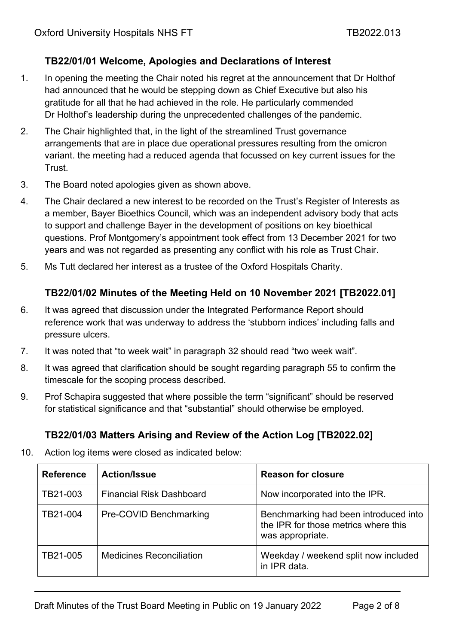## **TB22/01/01 Welcome, Apologies and Declarations of Interest**

- 1. In opening the meeting the Chair noted his regret at the announcement that Dr Holthof had announced that he would be stepping down as Chief Executive but also his gratitude for all that he had achieved in the role. He particularly commended Dr Holthof's leadership during the unprecedented challenges of the pandemic.
- 2. The Chair highlighted that, in the light of the streamlined Trust governance arrangements that are in place due operational pressures resulting from the omicron variant. the meeting had a reduced agenda that focussed on key current issues for the Trust.
- 3. The Board noted apologies given as shown above.
- 4. The Chair declared a new interest to be recorded on the Trust's Register of Interests as a member, Bayer Bioethics Council, which was an independent advisory body that acts to support and challenge Bayer in the development of positions on key bioethical questions. Prof Montgomery's appointment took effect from 13 December 2021 for two years and was not regarded as presenting any conflict with his role as Trust Chair.
- 5. Ms Tutt declared her interest as a trustee of the Oxford Hospitals Charity.

### **TB22/01/02 Minutes of the Meeting Held on 10 November 2021 [TB2022.01]**

- 6. It was agreed that discussion under the Integrated Performance Report should reference work that was underway to address the 'stubborn indices' including falls and pressure ulcers.
- 7. It was noted that "to week wait" in paragraph 32 should read "two week wait".
- 8. It was agreed that clarification should be sought regarding paragraph 55 to confirm the timescale for the scoping process described.
- 9. Prof Schapira suggested that where possible the term "significant" should be reserved for statistical significance and that "substantial" should otherwise be employed.

### **TB22/01/03 Matters Arising and Review of the Action Log [TB2022.02]**

10. Action log items were closed as indicated below:

| <b>Reference</b> | <b>Action/Issue</b>             | <b>Reason for closure</b>                                                                         |
|------------------|---------------------------------|---------------------------------------------------------------------------------------------------|
| TB21-003         | <b>Financial Risk Dashboard</b> | Now incorporated into the IPR.                                                                    |
| TB21-004         | Pre-COVID Benchmarking          | Benchmarking had been introduced into<br>the IPR for those metrics where this<br>was appropriate. |
| TB21-005         | <b>Medicines Reconciliation</b> | Weekday / weekend split now included<br>in IPR data.                                              |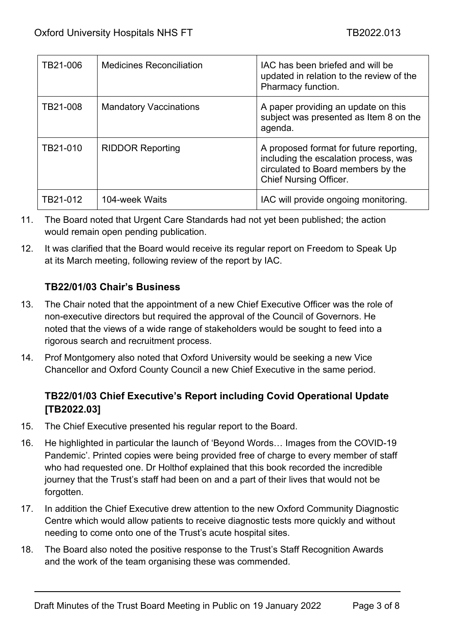| TB21-006 | <b>Medicines Reconciliation</b> | IAC has been briefed and will be<br>updated in relation to the review of the<br>Pharmacy function.                                                      |
|----------|---------------------------------|---------------------------------------------------------------------------------------------------------------------------------------------------------|
| TB21-008 | <b>Mandatory Vaccinations</b>   | A paper providing an update on this<br>subject was presented as Item 8 on the<br>agenda.                                                                |
| TB21-010 | <b>RIDDOR Reporting</b>         | A proposed format for future reporting,<br>including the escalation process, was<br>circulated to Board members by the<br><b>Chief Nursing Officer.</b> |
| TB21-012 | 104-week Waits                  | IAC will provide ongoing monitoring.                                                                                                                    |

- 11. The Board noted that Urgent Care Standards had not yet been published; the action would remain open pending publication.
- 12. It was clarified that the Board would receive its regular report on Freedom to Speak Up at its March meeting, following review of the report by IAC.

## **TB22/01/03 Chair's Business**

- 13. The Chair noted that the appointment of a new Chief Executive Officer was the role of non-executive directors but required the approval of the Council of Governors. He noted that the views of a wide range of stakeholders would be sought to feed into a rigorous search and recruitment process.
- 14. Prof Montgomery also noted that Oxford University would be seeking a new Vice Chancellor and Oxford County Council a new Chief Executive in the same period.

# **TB22/01/03 Chief Executive's Report including Covid Operational Update [TB2022.03]**

- 15. The Chief Executive presented his regular report to the Board.
- 16. He highlighted in particular the launch of 'Beyond Words… Images from the COVID-19 Pandemic'. Printed copies were being provided free of charge to every member of staff who had requested one. Dr Holthof explained that this book recorded the incredible journey that the Trust's staff had been on and a part of their lives that would not be forgotten.
- 17. In addition the Chief Executive drew attention to the new Oxford Community Diagnostic Centre which would allow patients to receive diagnostic tests more quickly and without needing to come onto one of the Trust's acute hospital sites.
- 18. The Board also noted the positive response to the Trust's Staff Recognition Awards and the work of the team organising these was commended.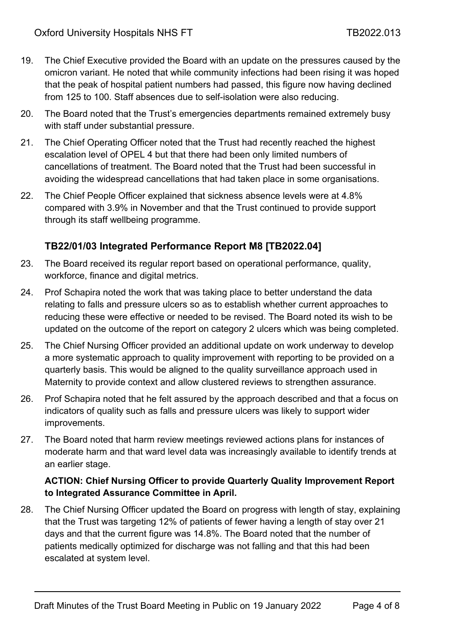- 19. The Chief Executive provided the Board with an update on the pressures caused by the omicron variant. He noted that while community infections had been rising it was hoped that the peak of hospital patient numbers had passed, this figure now having declined from 125 to 100. Staff absences due to self-isolation were also reducing.
- 20. The Board noted that the Trust's emergencies departments remained extremely busy with staff under substantial pressure.
- 21. The Chief Operating Officer noted that the Trust had recently reached the highest escalation level of OPEL 4 but that there had been only limited numbers of cancellations of treatment. The Board noted that the Trust had been successful in avoiding the widespread cancellations that had taken place in some organisations.
- 22. The Chief People Officer explained that sickness absence levels were at 4.8% compared with 3.9% in November and that the Trust continued to provide support through its staff wellbeing programme.

## **TB22/01/03 Integrated Performance Report M8 [TB2022.04]**

- 23. The Board received its regular report based on operational performance, quality, workforce, finance and digital metrics.
- 24. Prof Schapira noted the work that was taking place to better understand the data relating to falls and pressure ulcers so as to establish whether current approaches to reducing these were effective or needed to be revised. The Board noted its wish to be updated on the outcome of the report on category 2 ulcers which was being completed.
- 25. The Chief Nursing Officer provided an additional update on work underway to develop a more systematic approach to quality improvement with reporting to be provided on a quarterly basis. This would be aligned to the quality surveillance approach used in Maternity to provide context and allow clustered reviews to strengthen assurance.
- 26. Prof Schapira noted that he felt assured by the approach described and that a focus on indicators of quality such as falls and pressure ulcers was likely to support wider improvements.
- 27. The Board noted that harm review meetings reviewed actions plans for instances of moderate harm and that ward level data was increasingly available to identify trends at an earlier stage.

#### **ACTION: Chief Nursing Officer to provide Quarterly Quality Improvement Report to Integrated Assurance Committee in April.**

28. The Chief Nursing Officer updated the Board on progress with length of stay, explaining that the Trust was targeting 12% of patients of fewer having a length of stay over 21 days and that the current figure was 14.8%. The Board noted that the number of patients medically optimized for discharge was not falling and that this had been escalated at system level.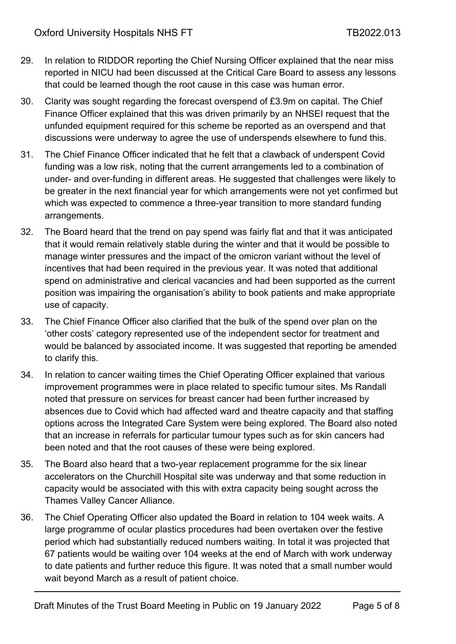- 29. In relation to RIDDOR reporting the Chief Nursing Officer explained that the near miss reported in NICU had been discussed at the Critical Care Board to assess any lessons that could be learned though the root cause in this case was human error.
- 30. Clarity was sought regarding the forecast overspend of £3.9m on capital. The Chief Finance Officer explained that this was driven primarily by an NHSEI request that the unfunded equipment required for this scheme be reported as an overspend and that discussions were underway to agree the use of underspends elsewhere to fund this.
- 31. The Chief Finance Officer indicated that he felt that a clawback of underspent Covid funding was a low risk, noting that the current arrangements led to a combination of under- and over-funding in different areas. He suggested that challenges were likely to be greater in the next financial year for which arrangements were not yet confirmed but which was expected to commence a three-year transition to more standard funding arrangements.
- 32. The Board heard that the trend on pay spend was fairly flat and that it was anticipated that it would remain relatively stable during the winter and that it would be possible to manage winter pressures and the impact of the omicron variant without the level of incentives that had been required in the previous year. It was noted that additional spend on administrative and clerical vacancies and had been supported as the current position was impairing the organisation's ability to book patients and make appropriate use of capacity.
- 33. The Chief Finance Officer also clarified that the bulk of the spend over plan on the 'other costs' category represented use of the independent sector for treatment and would be balanced by associated income. It was suggested that reporting be amended to clarify this.
- 34. In relation to cancer waiting times the Chief Operating Officer explained that various improvement programmes were in place related to specific tumour sites. Ms Randall noted that pressure on services for breast cancer had been further increased by absences due to Covid which had affected ward and theatre capacity and that staffing options across the Integrated Care System were being explored. The Board also noted that an increase in referrals for particular tumour types such as for skin cancers had been noted and that the root causes of these were being explored.
- 35. The Board also heard that a two-year replacement programme for the six linear accelerators on the Churchill Hospital site was underway and that some reduction in capacity would be associated with this with extra capacity being sought across the Thames Valley Cancer Alliance.
- 36. The Chief Operating Officer also updated the Board in relation to 104 week waits. A large programme of ocular plastics procedures had been overtaken over the festive period which had substantially reduced numbers waiting. In total it was projected that 67 patients would be waiting over 104 weeks at the end of March with work underway to date patients and further reduce this figure. It was noted that a small number would wait beyond March as a result of patient choice.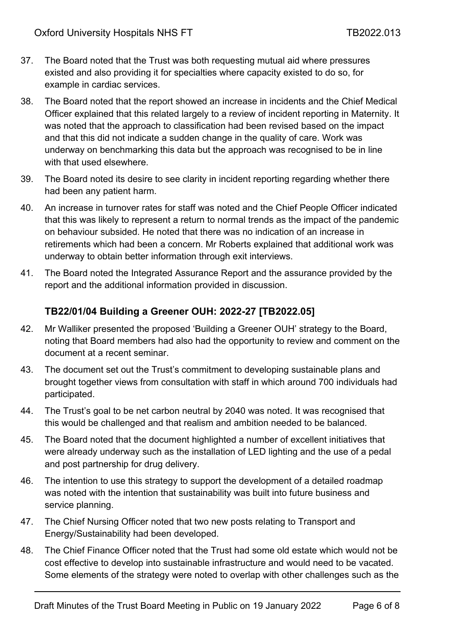- 37. The Board noted that the Trust was both requesting mutual aid where pressures existed and also providing it for specialties where capacity existed to do so, for example in cardiac services.
- 38. The Board noted that the report showed an increase in incidents and the Chief Medical Officer explained that this related largely to a review of incident reporting in Maternity. It was noted that the approach to classification had been revised based on the impact and that this did not indicate a sudden change in the quality of care. Work was underway on benchmarking this data but the approach was recognised to be in line with that used elsewhere.
- 39. The Board noted its desire to see clarity in incident reporting regarding whether there had been any patient harm.
- 40. An increase in turnover rates for staff was noted and the Chief People Officer indicated that this was likely to represent a return to normal trends as the impact of the pandemic on behaviour subsided. He noted that there was no indication of an increase in retirements which had been a concern. Mr Roberts explained that additional work was underway to obtain better information through exit interviews.
- 41. The Board noted the Integrated Assurance Report and the assurance provided by the report and the additional information provided in discussion.

## **TB22/01/04 Building a Greener OUH: 2022-27 [TB2022.05]**

- 42. Mr Walliker presented the proposed 'Building a Greener OUH' strategy to the Board, noting that Board members had also had the opportunity to review and comment on the document at a recent seminar.
- 43. The document set out the Trust's commitment to developing sustainable plans and brought together views from consultation with staff in which around 700 individuals had participated.
- 44. The Trust's goal to be net carbon neutral by 2040 was noted. It was recognised that this would be challenged and that realism and ambition needed to be balanced.
- 45. The Board noted that the document highlighted a number of excellent initiatives that were already underway such as the installation of LED lighting and the use of a pedal and post partnership for drug delivery.
- 46. The intention to use this strategy to support the development of a detailed roadmap was noted with the intention that sustainability was built into future business and service planning.
- 47. The Chief Nursing Officer noted that two new posts relating to Transport and Energy/Sustainability had been developed.
- 48. The Chief Finance Officer noted that the Trust had some old estate which would not be cost effective to develop into sustainable infrastructure and would need to be vacated. Some elements of the strategy were noted to overlap with other challenges such as the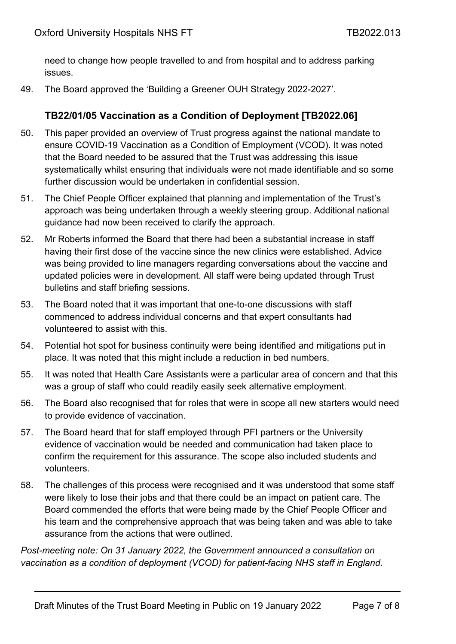need to change how people travelled to and from hospital and to address parking issues.

49. The Board approved the 'Building a Greener OUH Strategy 2022-2027'.

### **TB22/01/05 Vaccination as a Condition of Deployment [TB2022.06]**

- 50. This paper provided an overview of Trust progress against the national mandate to ensure COVID-19 Vaccination as a Condition of Employment (VCOD). It was noted that the Board needed to be assured that the Trust was addressing this issue systematically whilst ensuring that individuals were not made identifiable and so some further discussion would be undertaken in confidential session.
- 51. The Chief People Officer explained that planning and implementation of the Trust's approach was being undertaken through a weekly steering group. Additional national guidance had now been received to clarify the approach.
- 52. Mr Roberts informed the Board that there had been a substantial increase in staff having their first dose of the vaccine since the new clinics were established. Advice was being provided to line managers regarding conversations about the vaccine and updated policies were in development. All staff were being updated through Trust bulletins and staff briefing sessions.
- 53. The Board noted that it was important that one-to-one discussions with staff commenced to address individual concerns and that expert consultants had volunteered to assist with this.
- 54. Potential hot spot for business continuity were being identified and mitigations put in place. It was noted that this might include a reduction in bed numbers.
- 55. It was noted that Health Care Assistants were a particular area of concern and that this was a group of staff who could readily easily seek alternative employment.
- 56. The Board also recognised that for roles that were in scope all new starters would need to provide evidence of vaccination.
- 57. The Board heard that for staff employed through PFI partners or the University evidence of vaccination would be needed and communication had taken place to confirm the requirement for this assurance. The scope also included students and volunteers.
- 58. The challenges of this process were recognised and it was understood that some staff were likely to lose their jobs and that there could be an impact on patient care. The Board commended the efforts that were being made by the Chief People Officer and his team and the comprehensive approach that was being taken and was able to take assurance from the actions that were outlined.

*Post-meeting note: On 31 January 2022, the Government announced a consultation on vaccination as a condition of deployment (VCOD) for patient-facing NHS staff in England.*